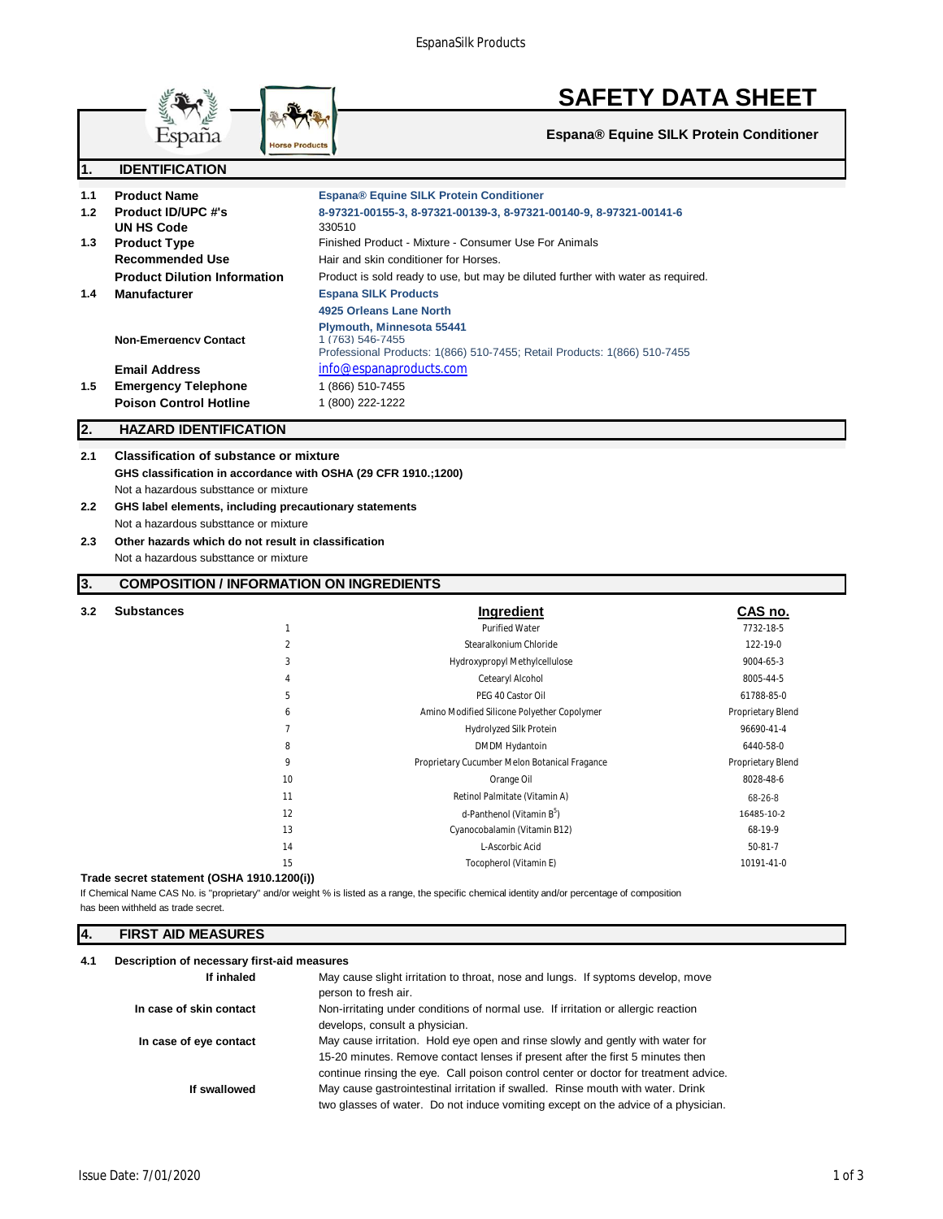

#### **3. COMPOSITION / INFORMATION ON INGREDIENTS**

| 3.2 | <b>Substances</b> |                | Ingredient                                    | CAS no.           |
|-----|-------------------|----------------|-----------------------------------------------|-------------------|
|     |                   | $\mathbf{1}$   | <b>Purified Water</b>                         | 7732-18-5         |
|     |                   | $\overline{2}$ | Stearalkonium Chloride                        | 122-19-0          |
|     |                   | 3              | Hydroxypropyl Methylcellulose                 | 9004-65-3         |
|     |                   | 4              | Cetearyl Alcohol                              | 8005-44-5         |
|     |                   | 5              | PEG 40 Castor Oil                             | 61788-85-0        |
|     |                   | 6              | Amino Modified Silicone Polyether Copolymer   | Proprietary Blend |
|     |                   | $\overline{7}$ | Hydrolyzed Silk Protein                       | 96690-41-4        |
|     |                   | 8              | <b>DMDM Hydantoin</b>                         | 6440-58-0         |
|     |                   | 9              | Proprietary Cucumber Melon Botanical Fragance | Proprietary Blend |
|     |                   | 10             | Orange Oil                                    | 8028-48-6         |
|     |                   | 11             | Retinol Palmitate (Vitamin A)                 | 68-26-8           |
|     |                   | 12             | d-Panthenol (Vitamin B <sup>5</sup> )         | 16485-10-2        |
|     |                   | 13             | Cyanocobalamin (Vitamin B12)                  | 68-19-9           |
|     |                   | 14             | L-Ascorbic Acid                               | $50-81-7$         |
|     |                   | 15             | Tocopherol (Vitamin E)                        | 10191-41-0        |
|     |                   |                |                                               |                   |

#### **Trade secret statement (OSHA 1910.1200(i))**

If Chemical Name CAS No. is "proprietary" and/or weight % is listed as a range, the specific chemical identity and/or percentage of composition has been withheld as trade secret.

#### **4. FIRST AID MEASURES**

| 4.1 | Description of necessary first-aid measures |                                                                                                                                                                                                                                                          |  |
|-----|---------------------------------------------|----------------------------------------------------------------------------------------------------------------------------------------------------------------------------------------------------------------------------------------------------------|--|
|     | If inhaled                                  | May cause slight irritation to throat, nose and lungs. If syptoms develop, move<br>person to fresh air.                                                                                                                                                  |  |
|     | In case of skin contact                     | Non-irritating under conditions of normal use. If irritation or allergic reaction<br>develops, consult a physician.                                                                                                                                      |  |
|     | In case of eye contact                      | May cause irritation. Hold eye open and rinse slowly and gently with water for<br>15-20 minutes. Remove contact lenses if present after the first 5 minutes then<br>continue rinsing the eye. Call poison control center or doctor for treatment advice. |  |
|     | If swallowed                                | May cause gastrointestinal irritation if swalled. Rinse mouth with water. Drink<br>two glasses of water. Do not induce vomiting except on the advice of a physician.                                                                                     |  |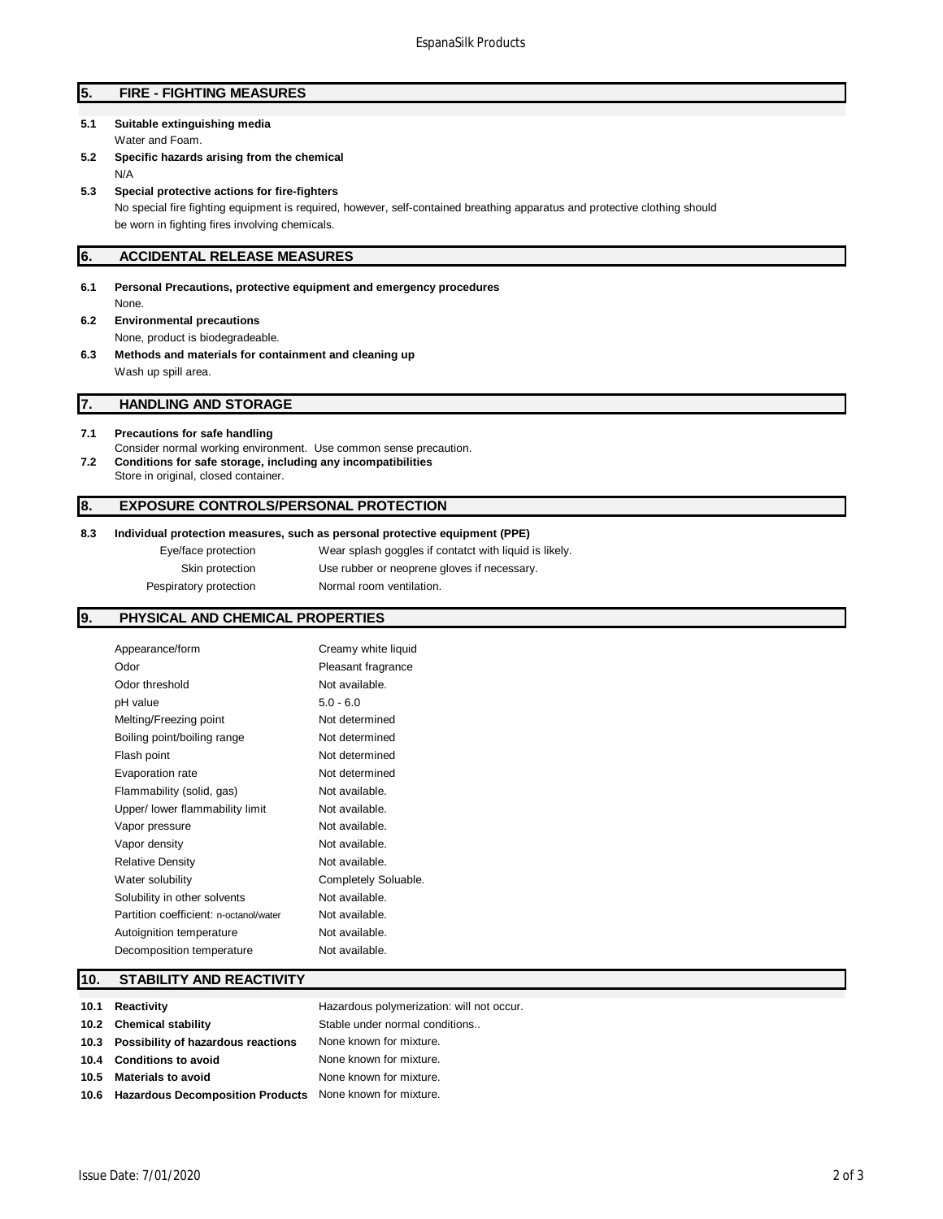# **5. FIRE - FIGHTING MEASURES**

## **5.1 Suitable extinguishing media** Water and Foam.

**5.2 Specific hazards arising from the chemical** N/A

#### **5.3 Special protective actions for fire-fighters**

No special fire fighting equipment is required, however, self-contained breathing apparatus and protective clothing should be worn in fighting fires involving chemicals.

# **6. ACCIDENTAL RELEASE MEASURES**

- **6.1 Personal Precautions, protective equipment and emergency procedures** None.
- **6.2 Environmental precautions** None, product is biodegradeable.
- **6.3 Methods and materials for containment and cleaning up** Wash up spill area.

#### **7. HANDLING AND STORAGE**

#### **7.1 Precautions for safe handling**

Consider normal working environment. Use common sense precaution. **7.2 Conditions for safe storage, including any incompatibilities** Store in original, closed container.

# **8. EXPOSURE CONTROLS/PERSONAL PROTECTION**

## **8.3 Individual protection measures, such as personal protective equipment (PPE)**

| Eye/face protection    | Wear splash goggles if contatct with liquid is likely. |
|------------------------|--------------------------------------------------------|
| Skin protection        | Use rubber or neoprene gloves if necessary.            |
| Pespiratory protection | Normal room ventilation.                               |

# **9. PHYSICAL AND CHEMICAL PROPERTIES**

| Appearance/form                        | Creamy white liquid  |
|----------------------------------------|----------------------|
| Odor                                   | Pleasant fragrance   |
| Odor threshold                         | Not available.       |
| pH value                               | $5.0 - 6.0$          |
| Melting/Freezing point                 | Not determined       |
| Boiling point/boiling range            | Not determined       |
| Flash point                            | Not determined       |
| Evaporation rate                       | Not determined       |
| Flammability (solid, gas)              | Not available.       |
| Upper/ lower flammability limit        | Not available.       |
| Vapor pressure                         | Not available.       |
| Vapor density                          | Not available.       |
| <b>Relative Density</b>                | Not available.       |
| Water solubility                       | Completely Soluable. |
| Solubility in other solvents           | Not available.       |
| Partition coefficient: n-octanol/water | Not available.       |
| Autoignition temperature               | Not available.       |
| Decomposition temperature              | Not available.       |
|                                        |                      |

# **10. STABILITY AND REACTIVITY**

| 10.1 | Reactivity                                                    | Hazardous polymerization: will not occur. |
|------|---------------------------------------------------------------|-------------------------------------------|
|      | 10.2 Chemical stability                                       | Stable under normal conditions            |
|      | 10.3 Possibility of hazardous reactions                       | None known for mixture.                   |
|      | 10.4 Conditions to avoid                                      | None known for mixture.                   |
|      | 10.5 Materials to avoid                                       | None known for mixture.                   |
|      | 10.6 Hazardous Decomposition Products None known for mixture. |                                           |